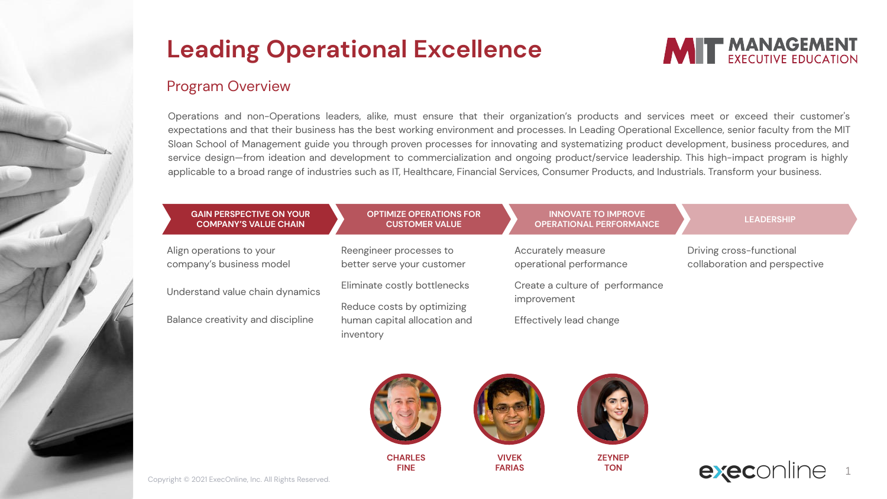#### **Program Overview**

Operations and non-Operations leaders, alike, must ensure that their organization's products and services meet or exceed their customer's expectations and that their business has the best working environment and processes. In Leading Operational Excellence, senior faculty from the MIT Sloan School of Management guide you through proven processes for innovating and systematizing product development, business procedures, and service design-from ideation and development to commercialization and ongoing product/service leadership. This high-impact program is highly applicable to a broad range of industries such as IT, Healthcare, Financial Services, Consumer Products, and Industrials. Transform your business.

**MIT MANAGEMENT** 

| <b>GAIN PERSPECTIVE ON YOUR</b><br><b>COMPANY'S VALUE CHAIN</b> | <b>OPTIMIZE OPERATIONS FOR</b><br><b>CUSTOMER VALUE</b>    | <b>INNOVATE TO IMPROVE</b><br><b>OPERATIONAL PERFORMANCE</b> | <b>LEADERSHIP</b>                                         |
|-----------------------------------------------------------------|------------------------------------------------------------|--------------------------------------------------------------|-----------------------------------------------------------|
| Align operations to your<br>company's business model            | Reengineer processes to<br>better serve your customer      | Accurately measure<br>operational performance                | Driving cross-functional<br>collaboration and perspective |
| Understand value chain dynamics                                 | Eliminate costly bottlenecks                               | Create a culture of performance                              |                                                           |
| Balance creativity and discipline                               | Reduce costs by optimizing<br>human capital allocation and | improvement<br>Effectively lead change                       |                                                           |
|                                                                 | inventory                                                  |                                                              |                                                           |
|                                                                 |                                                            |                                                              |                                                           |
| Campbell @ 9091 FuerOalise Jan All Dickso Descours              | <b>CHARLES</b><br><b>FINE</b>                              | <b>VIVEK</b><br><b>ZEYNEP</b><br><b>TON</b><br><b>FARIAS</b> | exec                                                      |

Copyright © 2021 ExecOnline, Inc. All Rights Reserved.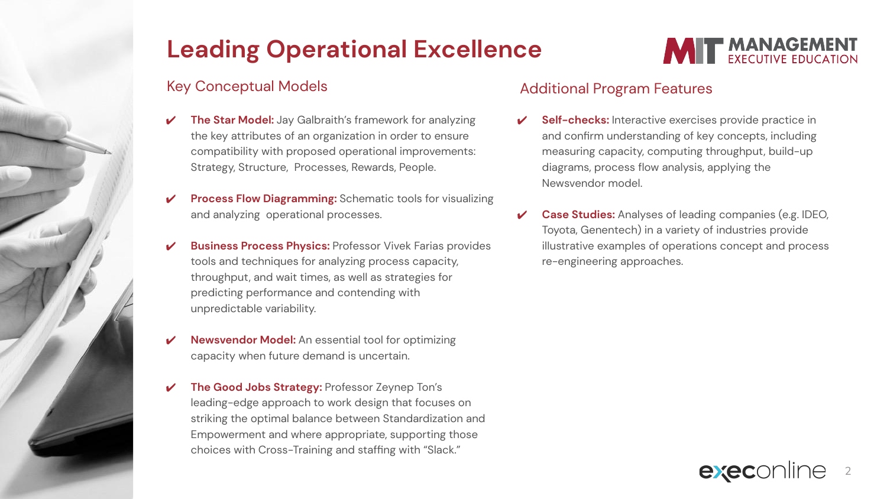## Key Conceptual Models

- **The Star Model:** Jay Galbraith's framework for analyzing the key attributes of an organization in order to ensure compatibility with proposed operational improvements: Strategy, Structure, Processes, Rewards, People.
- **Process Flow Diagramming:** Schematic tools for visualizing and analyzing operational processes.
- **Business Process Physics: Professor Vivek Farias provides** tools and techniques for analyzing process capacity, throughput, and wait times, as well as strategies for predicting performance and contending with unpredictable variability.
- **Newsvendor Model:** An essential tool for optimizing capacity when future demand is uncertain.
- ✔ **The Good Jobs Strategy:** Professor Zeynep Ton's leading-edge approach to work design that focuses on striking the optimal balance between Standardization and Empowerment and where appropriate, supporting those choices with Cross-Training and staffing with "Slack."



#### Additional Program Features

- **Self-checks:** Interactive exercises provide practice in and confirm understanding of key concepts, including measuring capacity, computing throughput, build-up diagrams, process flow analysis, applying the Newsvendor model.
- **Case Studies:** Analyses of leading companies (e.g. IDEO, Toyota, Genentech) in a variety of industries provide illustrative examples of operations concept and process re-engineering approaches.

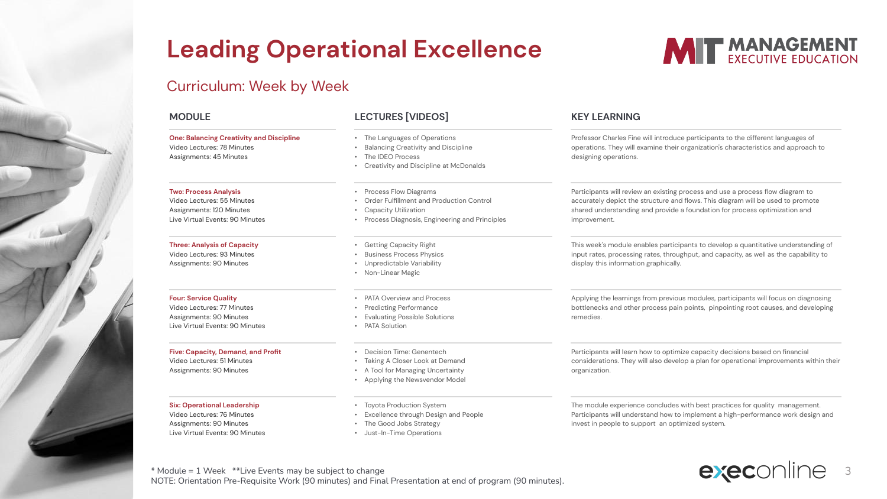### Curriculum: Week by Week



\* Module = 1 Week \*\*Live Events may be subject to change  $\blacksquare$ NOTE: Orientation Pre-Requisite Work (90 minutes) and Final Presentation at end of program (90 minutes).

**MIT MANAGEMENT**